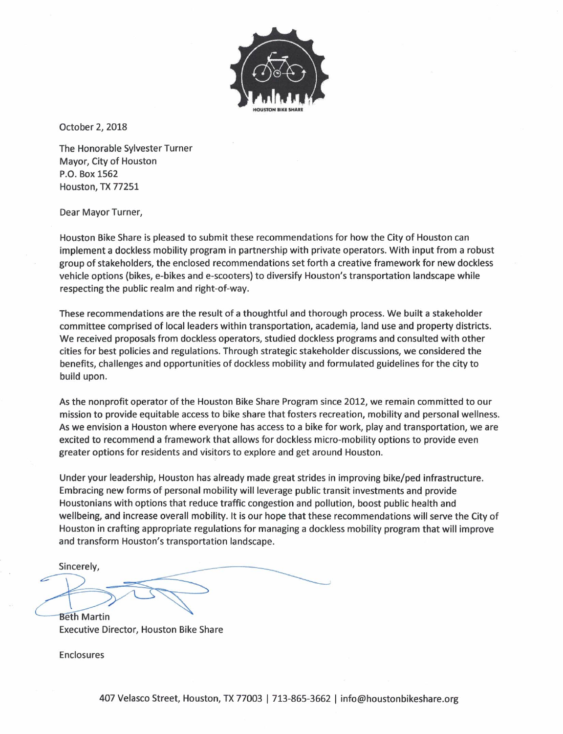

October 2, 2018

The Honorable Sylvester Turner Mayor, City of Houston P.O. Box 1562 Houston, TX 77251

Dear Mayor Turner,

Houston Bike Share is pleased to submit these recommendations for how the City of Houston can implement a dockless mobility program in partnership with private operators. With input from a robust group of stakeholders, the enclosed recommendations set forth a creative framework for new dockless vehicle options (bikes, e-bikes and e-scooters) to diversify Houston's transportation landscape while respecting the public realm and right-of-way.

These recommendations are the result of a thoughtful and thorough process. We built a stakeholder committee comprised of local leaders within transportation, academia, land use and property districts. We received proposals from dockless operators, studied dockless programs and consulted with other cities for best policies and regulations. Through strategic stakeholder discussions, we considered the benefits, challenges and opportunities of dockless mobility and formulated guidelines for the city to build upon.

As the nonprofit operator of the Houston Bike Share Program since 2012, we remain committed to our mission to provide equitable access to bike share that fosters recreation, mobility and personal wellness. As we envision a Houston where everyone has access to a bike for work, play and transportation, we are excited to recommend a framework that allows for dockless micro-mobility options to provide even greater options for residents and visitors to explore and get around Houston.

Under your leadership, Houston has already made great strides in improving bike/ped infrastructure. Embracing new forms of personal mobility will leverage public transit investments and provide Houstonians with options that reduce traffic congestion and pollution, boost public health and wellbeing, and increase overall mobility. It is our hope that these recommendations will serve the City of Houston in crafting appropriate regulations for managing a dockless mobility program that will improve and transform Houston's transportation landscape.

Sincerely, **Beth Martin** 

**Executive Director, Houston Bike Share** 

Enclosures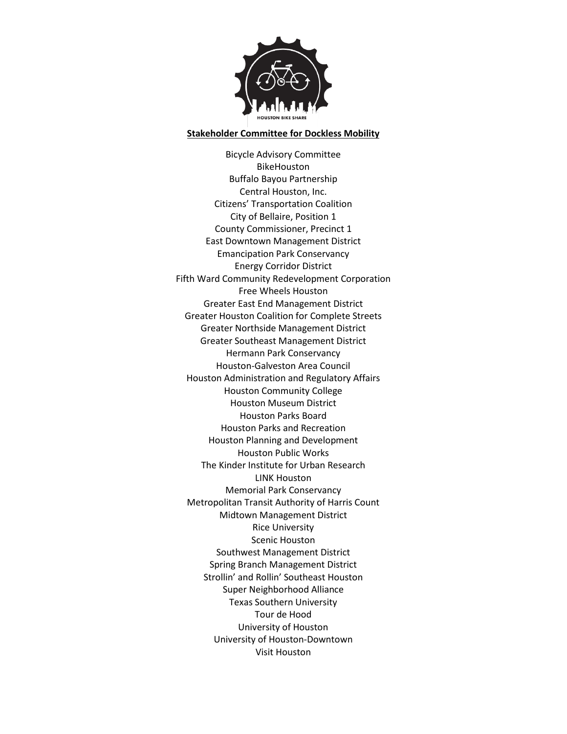

#### **Stakeholder Committee for Dockless Mobility**

Bicycle Advisory Committee BikeHouston Buffalo Bayou Partnership Central Houston, Inc. Citizens' Transportation Coalition City of Bellaire, Position 1 County Commissioner, Precinct 1 East Downtown Management District Emancipation Park Conservancy Energy Corridor District Fifth Ward Community Redevelopment Corporation Free Wheels Houston Greater East End Management District Greater Houston Coalition for Complete Streets Greater Northside Management District Greater Southeast Management District Hermann Park Conservancy Houston-Galveston Area Council Houston Administration and Regulatory Affairs Houston Community College Houston Museum District Houston Parks Board Houston Parks and Recreation Houston Planning and Development Houston Public Works The Kinder Institute for Urban Research LINK Houston Memorial Park Conservancy Metropolitan Transit Authority of Harris Count Midtown Management District Rice University Scenic Houston Southwest Management District Spring Branch Management District Strollin' and Rollin' Southeast Houston Super Neighborhood Alliance Texas Southern University Tour de Hood University of Houston University of Houston-Downtown Visit Houston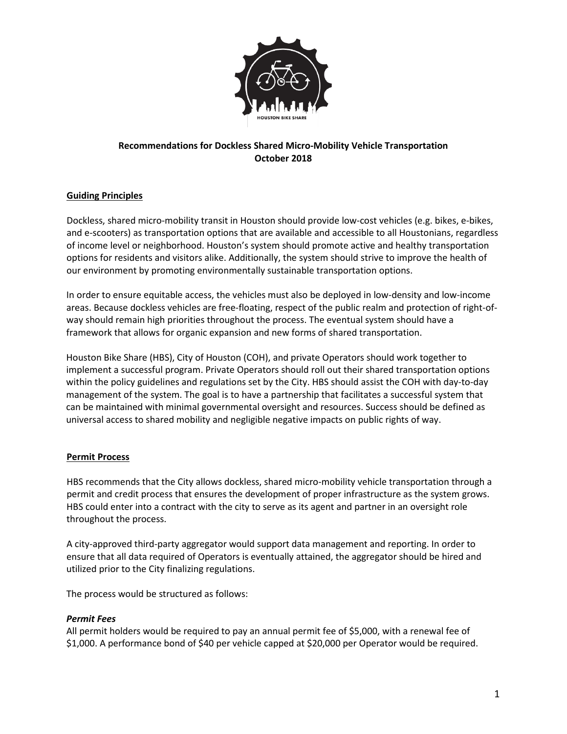

# **Recommendations for Dockless Shared Micro-Mobility Vehicle Transportation October 2018**

# **Guiding Principles**

Dockless, shared micro-mobility transit in Houston should provide low-cost vehicles (e.g. bikes, e-bikes, and e-scooters) as transportation options that are available and accessible to all Houstonians, regardless of income level or neighborhood. Houston's system should promote active and healthy transportation options for residents and visitors alike. Additionally, the system should strive to improve the health of our environment by promoting environmentally sustainable transportation options.

In order to ensure equitable access, the vehicles must also be deployed in low-density and low-income areas. Because dockless vehicles are free-floating, respect of the public realm and protection of right-ofway should remain high priorities throughout the process. The eventual system should have a framework that allows for organic expansion and new forms of shared transportation.

Houston Bike Share (HBS), City of Houston (COH), and private Operators should work together to implement a successful program. Private Operators should roll out their shared transportation options within the policy guidelines and regulations set by the City. HBS should assist the COH with day-to-day management of the system. The goal is to have a partnership that facilitates a successful system that can be maintained with minimal governmental oversight and resources. Success should be defined as universal access to shared mobility and negligible negative impacts on public rights of way.

# **Permit Process**

HBS recommends that the City allows dockless, shared micro-mobility vehicle transportation through a permit and credit process that ensures the development of proper infrastructure as the system grows. HBS could enter into a contract with the city to serve as its agent and partner in an oversight role throughout the process.

A city-approved third-party aggregator would support data management and reporting. In order to ensure that all data required of Operators is eventually attained, the aggregator should be hired and utilized prior to the City finalizing regulations.

The process would be structured as follows:

#### *Permit Fees*

All permit holders would be required to pay an annual permit fee of \$5,000, with a renewal fee of \$1,000. A performance bond of \$40 per vehicle capped at \$20,000 per Operator would be required.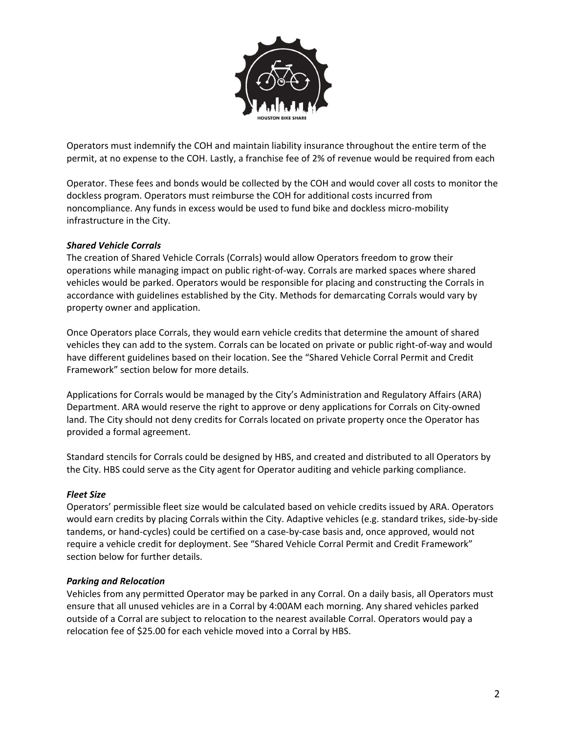

Operators must indemnify the COH and maintain liability insurance throughout the entire term of the permit, at no expense to the COH. Lastly, a franchise fee of 2% of revenue would be required from each

Operator. These fees and bonds would be collected by the COH and would cover all costs to monitor the dockless program. Operators must reimburse the COH for additional costs incurred from noncompliance. Any funds in excess would be used to fund bike and dockless micro-mobility infrastructure in the City.

### *Shared Vehicle Corrals*

The creation of Shared Vehicle Corrals (Corrals) would allow Operators freedom to grow their operations while managing impact on public right‐of‐way. Corrals are marked spaces where shared vehicles would be parked. Operators would be responsible for placing and constructing the Corrals in accordance with guidelines established by the City. Methods for demarcating Corrals would vary by property owner and application.

Once Operators place Corrals, they would earn vehicle credits that determine the amount of shared vehicles they can add to the system. Corrals can be located on private or public right‐of‐way and would have different guidelines based on their location. See the "Shared Vehicle Corral Permit and Credit Framework" section below for more details.

Applications for Corrals would be managed by the City's Administration and Regulatory Affairs (ARA) Department. ARA would reserve the right to approve or deny applications for Corrals on City‐owned land. The City should not deny credits for Corrals located on private property once the Operator has provided a formal agreement.

Standard stencils for Corrals could be designed by HBS, and created and distributed to all Operators by the City. HBS could serve as the City agent for Operator auditing and vehicle parking compliance.

#### *Fleet Size*

Operators' permissible fleet size would be calculated based on vehicle credits issued by ARA. Operators would earn credits by placing Corrals within the City. Adaptive vehicles (e.g. standard trikes, side‐by‐side tandems, or hand‐cycles) could be certified on a case‐by‐case basis and, once approved, would not require a vehicle credit for deployment. See "Shared Vehicle Corral Permit and Credit Framework" section below for further details.

#### *Parking and Relocation*

Vehicles from any permitted Operator may be parked in any Corral. On a daily basis, all Operators must ensure that all unused vehicles are in a Corral by 4:00AM each morning. Any shared vehicles parked outside of a Corral are subject to relocation to the nearest available Corral. Operators would pay a relocation fee of \$25.00 for each vehicle moved into a Corral by HBS.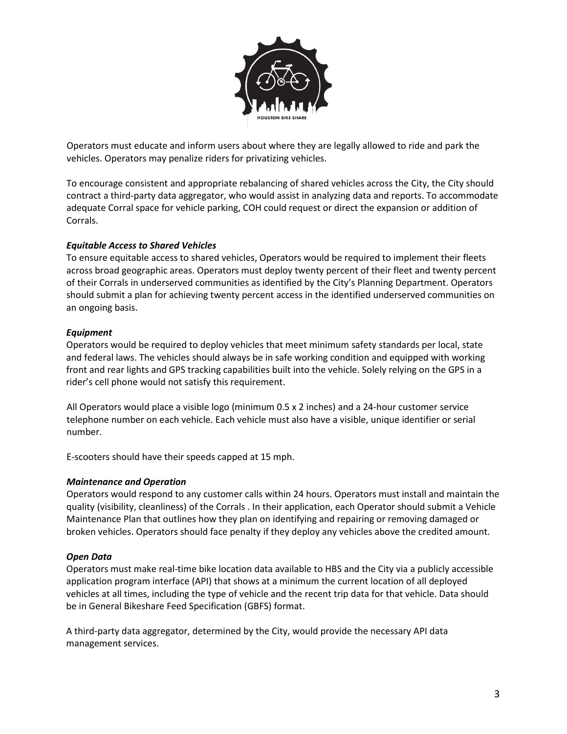

Operators must educate and inform users about where they are legally allowed to ride and park the vehicles. Operators may penalize riders for privatizing vehicles.

To encourage consistent and appropriate rebalancing of shared vehicles across the City, the City should contract a third-party data aggregator, who would assist in analyzing data and reports. To accommodate adequate Corral space for vehicle parking, COH could request or direct the expansion or addition of Corrals.

### *Equitable Access to Shared Vehicles*

To ensure equitable access to shared vehicles, Operators would be required to implement their fleets across broad geographic areas. Operators must deploy twenty percent of their fleet and twenty percent of their Corrals in underserved communities as identified by the City's Planning Department. Operators should submit a plan for achieving twenty percent access in the identified underserved communities on an ongoing basis.

### *Equipment*

Operators would be required to deploy vehicles that meet minimum safety standards per local, state and federal laws. The vehicles should always be in safe working condition and equipped with working front and rear lights and GPS tracking capabilities built into the vehicle. Solely relying on the GPS in a rider's cell phone would not satisfy this requirement.

All Operators would place a visible logo (minimum 0.5 x 2 inches) and a 24-hour customer service telephone number on each vehicle. Each vehicle must also have a visible, unique identifier or serial number.

E-scooters should have their speeds capped at 15 mph.

# *Maintenance and Operation*

Operators would respond to any customer calls within 24 hours. Operators must install and maintain the quality (visibility, cleanliness) of the Corrals . In their application, each Operator should submit a Vehicle Maintenance Plan that outlines how they plan on identifying and repairing or removing damaged or broken vehicles. Operators should face penalty if they deploy any vehicles above the credited amount.

#### *Open Data*

Operators must make real-time bike location data available to HBS and the City via a publicly accessible application program interface (API) that shows at a minimum the current location of all deployed vehicles at all times, including the type of vehicle and the recent trip data for that vehicle. Data should be in General Bikeshare Feed Specification (GBFS) format.

A third-party data aggregator, determined by the City, would provide the necessary API data management services.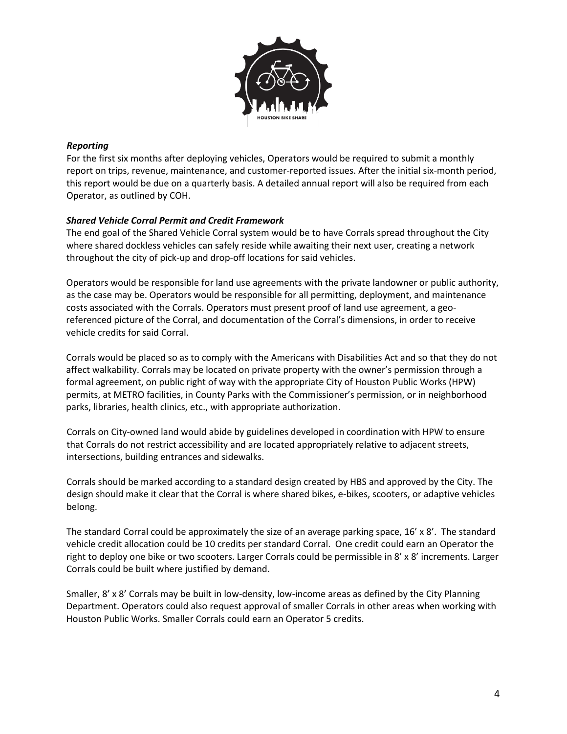

### *Reporting*

For the first six months after deploying vehicles, Operators would be required to submit a monthly report on trips, revenue, maintenance, and customer-reported issues. After the initial six-month period, this report would be due on a quarterly basis. A detailed annual report will also be required from each Operator, as outlined by COH.

### *Shared Vehicle Corral Permit and Credit Framework*

The end goal of the Shared Vehicle Corral system would be to have Corrals spread throughout the City where shared dockless vehicles can safely reside while awaiting their next user, creating a network throughout the city of pick-up and drop-off locations for said vehicles.

Operators would be responsible for land use agreements with the private landowner or public authority, as the case may be. Operators would be responsible for all permitting, deployment, and maintenance costs associated with the Corrals. Operators must present proof of land use agreement, a georeferenced picture of the Corral, and documentation of the Corral's dimensions, in order to receive vehicle credits for said Corral.

Corrals would be placed so as to comply with the Americans with Disabilities Act and so that they do not affect walkability. Corrals may be located on private property with the owner's permission through a formal agreement, on public right of way with the appropriate City of Houston Public Works (HPW) permits, at METRO facilities, in County Parks with the Commissioner's permission, or in neighborhood parks, libraries, health clinics, etc., with appropriate authorization.

Corrals on City-owned land would abide by guidelines developed in coordination with HPW to ensure that Corrals do not restrict accessibility and are located appropriately relative to adjacent streets, intersections, building entrances and sidewalks.

Corrals should be marked according to a standard design created by HBS and approved by the City. The design should make it clear that the Corral is where shared bikes, e-bikes, scooters, or adaptive vehicles belong.

The standard Corral could be approximately the size of an average parking space, 16' x 8'. The standard vehicle credit allocation could be 10 credits per standard Corral. One credit could earn an Operator the right to deploy one bike or two scooters. Larger Corrals could be permissible in 8' x 8' increments. Larger Corrals could be built where justified by demand.

Smaller, 8' x 8' Corrals may be built in low-density, low-income areas as defined by the City Planning Department. Operators could also request approval of smaller Corrals in other areas when working with Houston Public Works. Smaller Corrals could earn an Operator 5 credits.